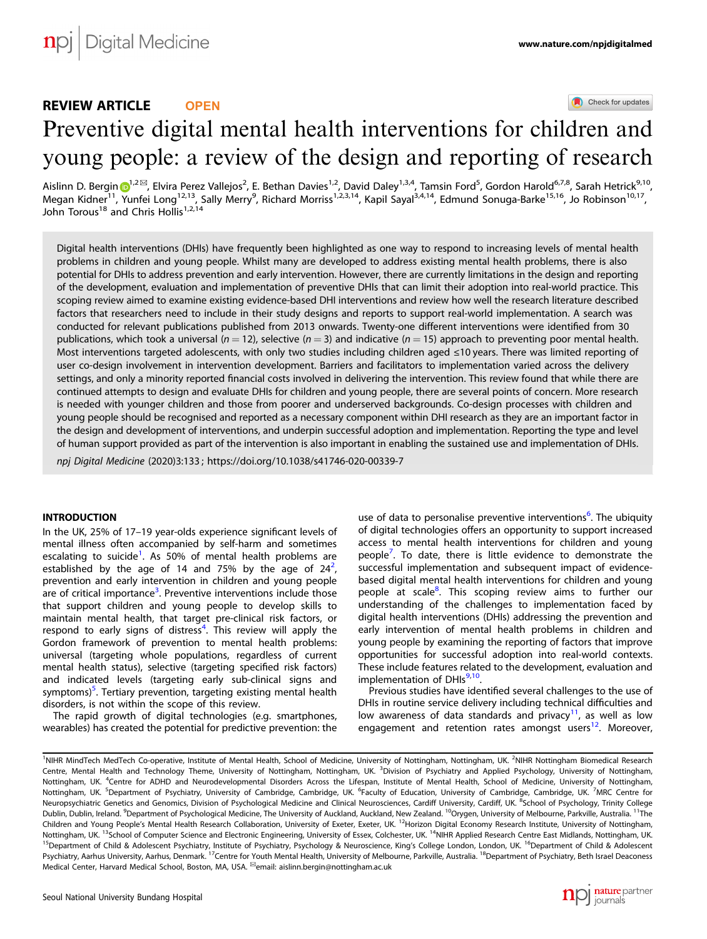# Check for updates REVIEW ARTICLE **OPEN** Preventive digital mental health interventions for chil[d](http://crossmark.crossref.org/dialog/?doi=10.1038/s41746-020-00339-7&domain=pdf)ren and young people: a review of the design and reporting of research

Aislinn D. Bergin D<sup>[1](http://orcid.org/0000-0002-4276-3466),2⊠</sup>, Elvira Perez Vallejos<sup>2</sup>, E. Bethan Davies<sup>1,2</sup>, David Daley<sup>1,3,4</sup>, Tamsin Ford<sup>5</sup>, Gordon Harold<sup>6,7,8</sup>, Sarah Hetrick<sup>9,10</sup>, Megan Kidner<sup>11</sup>, Yunfei Long<sup>12,13</sup>, Sally Merry<sup>9</sup>, Richard Morriss<sup>1,2,3,14</sup>, Kapil Sayal<sup>3,4,14</sup>, Edmund Sonuga-Barke<sup>15,16</sup>, Jo Robinson<sup>10,17</sup>, John Torous<sup>18</sup> and Chris Hollis<sup>1,2,14</sup>

Digital health interventions (DHIs) have frequently been highlighted as one way to respond to increasing levels of mental health problems in children and young people. Whilst many are developed to address existing mental health problems, there is also potential for DHIs to address prevention and early intervention. However, there are currently limitations in the design and reporting of the development, evaluation and implementation of preventive DHIs that can limit their adoption into real-world practice. This scoping review aimed to examine existing evidence-based DHI interventions and review how well the research literature described factors that researchers need to include in their study designs and reports to support real-world implementation. A search was conducted for relevant publications published from 2013 onwards. Twenty-one different interventions were identified from 30 publications, which took a universal ( $n = 12$ ), selective ( $n = 3$ ) and indicative ( $n = 15$ ) approach to preventing poor mental health. Most interventions targeted adolescents, with only two studies including children aged ≤10 years. There was limited reporting of user co-design involvement in intervention development. Barriers and facilitators to implementation varied across the delivery settings, and only a minority reported financial costs involved in delivering the intervention. This review found that while there are continued attempts to design and evaluate DHIs for children and young people, there are several points of concern. More research is needed with younger children and those from poorer and underserved backgrounds. Co-design processes with children and young people should be recognised and reported as a necessary component within DHI research as they are an important factor in the design and development of interventions, and underpin successful adoption and implementation. Reporting the type and level of human support provided as part of the intervention is also important in enabling the sustained use and implementation of DHIs.

npj Digital Medicine (2020) 3:133 ; https://doi.org/[10.1038/s41746-020-00339-7](https://doi.org/10.1038/s41746-020-00339-7)

### INTRODUCTION

In the UK, 25% of 17–19 year-olds experience significant levels of mental illness often accompanied by self-harm and sometimes escalating to suicide<sup>[1](#page-6-0)</sup>. As 50% of mental health problems are established by the age of 14 and 75% by the age of  $24^2$  $24^2$ , , prevention and early intervention in children and young people are of critical importance<sup>[3](#page-7-0)</sup>. Preventive interventions include those that support children and young people to develop skills to maintain mental health, that target pre-clinical risk factors, or respond to early signs of distress<sup>[4](#page-7-0)</sup>. This review will apply the Gordon framework of prevention to mental health problems: universal (targeting whole populations, regardless of current mental health status), selective (targeting specified risk factors) and indicated levels (targeting early sub-clinical signs and symptoms)<sup>[5](#page-7-0)</sup>. Tertiary prevention, targeting existing mental health disorders, is not within the scope of this review.

The rapid growth of digital technologies (e.g. smartphones, wearables) has created the potential for predictive prevention: the use of data to personalise preventive interventions<sup>[6](#page-7-0)</sup>. The ubiquity of digital technologies offers an opportunity to support increased access to mental health interventions for children and young people<sup>[7](#page-7-0)</sup>. To date, there is little evidence to demonstrate the successful implementation and subsequent impact of evidencebased digital mental health interventions for children and young people at scale<sup>[8](#page-7-0)</sup>. This scoping review aims to further our understanding of the challenges to implementation faced by digital health interventions (DHIs) addressing the prevention and early intervention of mental health problems in children and young people by examining the reporting of factors that improve opportunities for successful adoption into real-world contexts. These include features related to the development, evaluation and implementation of DHIs $9,10$ .

Previous studies have identified several challenges to the use of DHIs in routine service delivery including technical difficulties and low awareness of data standards and privacy $11$ , as well as low engagement and retention rates amongst users<sup>12</sup>. Moreover,

<sup>1</sup>NIHR MindTech MedTech Co-operative, Institute of Mental Health, School of Medicine, University of Nottingham, Nottingham, UK. <sup>2</sup>NIHR Nottingham Biomedical Research Centre, Mental Health and Technology Theme, University of Nottingham, Nottingham, UK. <sup>3</sup>Division of Psychiatry and Applied Psychology, University of Nottingham, Nottingham, UK. <sup>4</sup>Centre for ADHD and Neurodevelopmental Disorders Across the Lifespan, Institute of Mental Health, School of Medicine, University of Nottingham, Nottingham, UK. <sup>5</sup>Department of Psychiatry, University of Cambridge, Cambridge, UK. <sup>6</sup>Faculty of Education, University of Cambridge, Cambridge, UK. <sup>7</sup>MRC Centre for Neuropsychiatric Genetics and Genomics, Division of Psychological Medicine and Clinical Neurosciences, Cardiff University, Cardiff, UK. <sup>8</sup>School of Psychology, Trinity College Dublin, Dublin, Ireland. <sup>9</sup>Department of Psychological Medicine, The University of Auckland, Auckland, New Zealand. <sup>10</sup>Orygen, University of Melbourne, Parkville, Australia. <sup>11</sup>The Children and Young People's Mental Health Research Collaboration, University of Exeter, Exeter, UK. <sup>12</sup>Horizon Digital Economy Research Institute, University of Nottingham, Nottingham, UK. <sup>13</sup>School of Computer Science and Electronic Engineering, University of Essex, Colchester, UK. <sup>14</sup>NIHR Applied Research Centre East Midlands, Nottingham, UK. <sup>15</sup>Department of Child & Adolescent Psychiatry, Institute of Psychiatry, Psychology & Neuroscience, King's College London, London, UK. <sup>16</sup>Department of Child & Adolescent Psychiatry, Aarhus University, Aarhus, Denmark. <sup>17</sup>Centre for Youth Mental Health, University of Melbourne, Parkville, Australia. <sup>18</sup>Department of Psychiatry, Beth Israel Deaconess Medical Center, Harvard Medical School, Boston, MA, USA. ✉email: [aislinn.bergin@nottingham.ac.uk](mailto:aislinn.bergin@nottingham.ac.uk)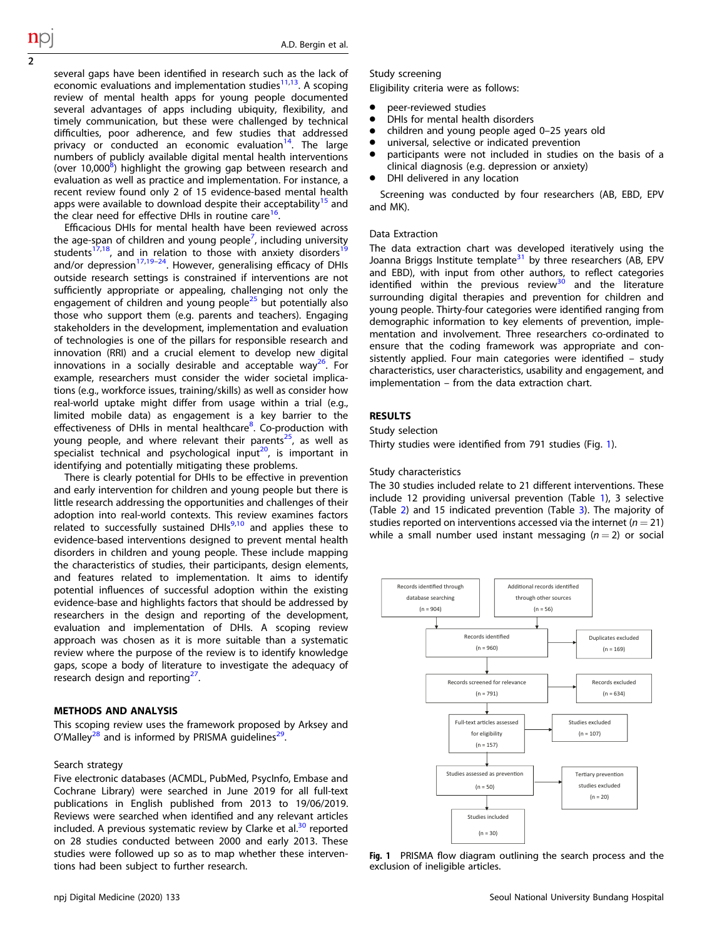several gaps have been identified in research such as the lack of economic evaluations and implementation studies $11,13$ . A scoping review of mental health apps for young people documented several advantages of apps including ubiquity, flexibility, and timely communication, but these were challenged by technical difficulties, poor adherence, and few studies that addressed privacy or conducted an economic evaluation<sup>14</sup>. The large numbers of publicly available digital mental health interventions (over 10,000<sup>[8](#page-7-0)</sup>) highlight the growing gap between research and evaluation as well as practice and implementation. For instance, a recent review found only 2 of 15 evidence-based mental health apps were available to download despite their acceptability<sup>[15](#page-7-0)</sup> and the clear need for effective DHIs in routine care<sup>[16](#page-7-0)</sup>.

2

Efficacious DHIs for mental health have been reviewed across the age-span of children and young people<sup>[7](#page-7-0)</sup>, including university students<sup>[17](#page-7-0),18</sup>, and in relation to those with anxiety disorders<sup>[19](#page-7-0)</sup> and/or depression<sup>[17,19](#page-7-0)–[24](#page-7-0)</sup>. However, generalising efficacy of DHIs outside research settings is constrained if interventions are not sufficiently appropriate or appealing, challenging not only the engagement of children and young people<sup>[25](#page-7-0)</sup> but potentially also those who support them (e.g. parents and teachers). Engaging stakeholders in the development, implementation and evaluation of technologies is one of the pillars for responsible research and innovation (RRI) and a crucial element to develop new digital innovations in a socially desirable and acceptable way<sup>[26](#page-7-0)</sup>. For example, researchers must consider the wider societal implications (e.g., workforce issues, training/skills) as well as consider how real-world uptake might differ from usage within a trial (e.g., limited mobile data) as engagement is a key barrier to the effectiveness of DHIs in mental healthcare<sup>[8](#page-7-0)</sup>. Co-production with young people, and where relevant their parents<sup>[25](#page-7-0)</sup>, as well as specialist technical and psychological input<sup>20</sup>, is important in identifying and potentially mitigating these problems.

There is clearly potential for DHIs to be effective in prevention and early intervention for children and young people but there is little research addressing the opportunities and challenges of their adoption into real-world contexts. This review examines factors related to successfully sustained DHIs $9,10$  and applies these to evidence-based interventions designed to prevent mental health disorders in children and young people. These include mapping the characteristics of studies, their participants, design elements, and features related to implementation. It aims to identify potential influences of successful adoption within the existing evidence-base and highlights factors that should be addressed by researchers in the design and reporting of the development, evaluation and implementation of DHIs. A scoping review approach was chosen as it is more suitable than a systematic review where the purpose of the review is to identify knowledge gaps, scope a body of literature to investigate the adequacy of research design and reporting $27$ .

# METHODS AND ANALYSIS

This scoping review uses the framework proposed by Arksey and  $O'Malley<sup>28</sup>$  $O'Malley<sup>28</sup>$  $O'Malley<sup>28</sup>$  and is informed by PRISMA guidelines<sup>29</sup>.

# Search strategy

Five electronic databases (ACMDL, PubMed, PsycInfo, Embase and Cochrane Library) were searched in June 2019 for all full-text publications in English published from 2013 to 19/06/2019. Reviews were searched when identified and any relevant articles included. A previous systematic review by Clarke et al. $30$  reported on 28 studies conducted between 2000 and early 2013. These studies were followed up so as to map whether these interventions had been subject to further research.

### Study screening

Eligibility criteria were as follows:

- peer-reviewed studies
- DHIs for mental health disorders
- children and young people aged 0–25 years old
- universal, selective or indicated prevention
- participants were not included in studies on the basis of a clinical diagnosis (e.g. depression or anxiety)
- DHI delivered in any location

Screening was conducted by four researchers (AB, EBD, EPV and MK).

### Data Extraction

The data extraction chart was developed iteratively using the Joanna Briggs Institute template<sup>[31](#page-7-0)</sup> by three researchers (AB, EPV and EBD), with input from other authors, to reflect categories identified within the previous review $30$  and the literature surrounding digital therapies and prevention for children and young people. Thirty-four categories were identified ranging from demographic information to key elements of prevention, implementation and involvement. Three researchers co-ordinated to ensure that the coding framework was appropriate and consistently applied. Four main categories were identified – study characteristics, user characteristics, usability and engagement, and implementation – from the data extraction chart.

# RESULTS

# Study selection

Thirty studies were identified from 791 studies (Fig. 1).

# Study characteristics

The 30 studies included relate to 21 different interventions. These include 12 providing universal prevention (Table [1](#page-2-0)), 3 selective (Table [2](#page-2-0)) and 15 indicated prevention (Table [3](#page-3-0)). The majority of studies reported on interventions accessed via the internet ( $n = 21$ ) while a small number used instant messaging  $(n = 2)$  or social



Fig. 1 PRISMA flow diagram outlining the search process and the exclusion of ineligible articles.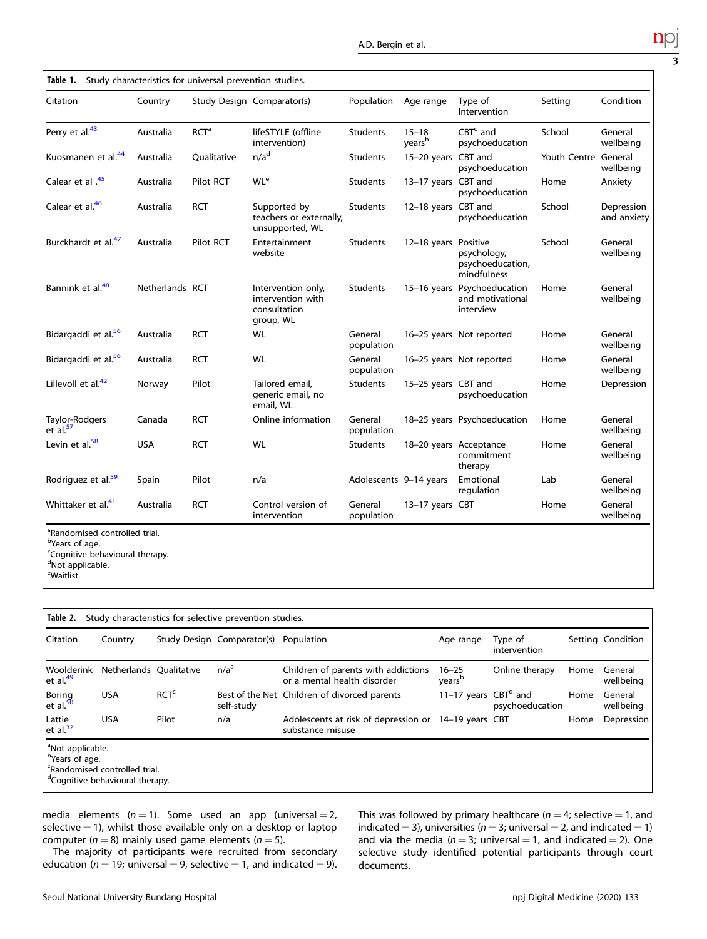<span id="page-2-0"></span>

| Table 1. Study characteristics for universal prevention studies. |                 |                  |                                                                      |                        |                                 |                                                              |                      |                           |
|------------------------------------------------------------------|-----------------|------------------|----------------------------------------------------------------------|------------------------|---------------------------------|--------------------------------------------------------------|----------------------|---------------------------|
| Citation                                                         | Country         |                  | Study Design Comparator(s)                                           | Population             | Age range                       | Type of<br>Intervention                                      | Setting              | Condition                 |
| Perry et al. <sup>43</sup>                                       | Australia       | RCT <sup>a</sup> | lifeSTYLE (offline<br>intervention)                                  | <b>Students</b>        | $15 - 18$<br>years <sup>b</sup> | $CBTc$ and<br>psychoeducation                                | School               | General<br>wellbeing      |
| Kuosmanen et al. <sup>44</sup>                                   | Australia       | Oualitative      | n/a <sup>d</sup>                                                     | <b>Students</b>        | 15-20 years CBT and             | psychoeducation                                              | Youth Centre General | wellbeing                 |
| Calear et al . <sup>45</sup>                                     | Australia       | Pilot RCT        | <b>WL<sup>e</sup></b>                                                | Students               | 13-17 years CBT and             | psychoeducation                                              | Home                 | Anxiety                   |
| Calear et al. <sup>46</sup>                                      | Australia       | <b>RCT</b>       | Supported by<br>teachers or externally,<br>unsupported, WL           | Students               | 12-18 years CBT and             | psychoeducation                                              | School               | Depression<br>and anxiety |
| Burckhardt et al. <sup>47</sup>                                  | Australia       | Pilot RCT        | Entertainment<br>website                                             | <b>Students</b>        | 12-18 years Positive            | psychology,<br>psychoeducation,<br>mindfulness               | School               | General<br>wellbeing      |
| Bannink et al. <sup>48</sup>                                     | Netherlands RCT |                  | Intervention only,<br>intervention with<br>consultation<br>group, WL | <b>Students</b>        |                                 | 15-16 years Psychoeducation<br>and motivational<br>interview | Home                 | General<br>wellbeing      |
| Bidargaddi et al. <sup>56</sup>                                  | Australia       | <b>RCT</b>       | WL                                                                   | General<br>population  |                                 | 16-25 years Not reported                                     | Home                 | General<br>wellbeing      |
| Bidargaddi et al. <sup>56</sup>                                  | Australia       | <b>RCT</b>       | <b>WL</b>                                                            | General<br>population  |                                 | 16-25 years Not reported                                     | Home                 | General<br>wellbeing      |
| Lillevoll et al. <sup>42</sup>                                   | Norway          | Pilot            | Tailored email,<br>generic email, no<br>email, WL                    | <b>Students</b>        | 15-25 years CBT and             | psychoeducation                                              | Home                 | Depression                |
| Taylor-Rodgers<br>$et$ al. <sup>57</sup>                         | Canada          | <b>RCT</b>       | Online information                                                   | General<br>population  |                                 | 18-25 years Psychoeducation                                  | Home                 | General<br>wellbeing      |
| Levin et al. <sup>58</sup>                                       | <b>USA</b>      | <b>RCT</b>       | <b>WL</b>                                                            | <b>Students</b>        | 18-20 years Acceptance          | commitment<br>therapy                                        | Home                 | General<br>wellbeing      |
| Rodriguez et al. <sup>59</sup>                                   | Spain           | Pilot            | n/a                                                                  | Adolescents 9-14 years |                                 | Emotional<br>regulation                                      | Lab                  | General<br>wellbeing      |
| Whittaker et al. <sup>41</sup>                                   | Australia       | <b>RCT</b>       | Control version of<br>intervention                                   | General<br>population  | 13-17 years CBT                 |                                                              | Home                 | General<br>wellbeing      |

<sup>b</sup>Years of age.

c Cognitive behavioural therapy.

<sup>d</sup>Not applicable.

e Waitlist.

| Table 2.                                                   |                                                                                          |                  | Study characteristics for selective prevention studies. |                                                                          |                                  |                         |      |                      |
|------------------------------------------------------------|------------------------------------------------------------------------------------------|------------------|---------------------------------------------------------|--------------------------------------------------------------------------|----------------------------------|-------------------------|------|----------------------|
| l Citation                                                 | Country                                                                                  |                  | Study Design Comparator(s)                              | Population                                                               | Age range                        | Type of<br>intervention |      | Setting Condition    |
| l Woolderink<br>$ $ et al. <sup>49</sup>                   | Netherlands Qualitative                                                                  |                  | n/a <sup>a</sup>                                        | Children of parents with addictions<br>or a mental health disorder       | $16 - 25$<br>years <sup>b</sup>  | Online therapy          | Home | General<br>wellbeing |
| Boring<br>et al. <sup>50</sup>                             | <b>USA</b>                                                                               | RCT <sup>c</sup> | self-study                                              | Best of the Net Children of divorced parents                             | 11-17 years CBT <sup>d</sup> and | psychoeducation         | Home | General<br>wellbeing |
| Lattie<br>et al. $32$                                      | <b>USA</b>                                                                               | Pilot            | n/a                                                     | Adolescents at risk of depression or 14-19 years CBT<br>substance misuse |                                  |                         | Home | Depression           |
| <sup>a</sup> Not applicable.<br><sup>b</sup> Years of age. | <sup>c</sup> Randomised controlled trial.<br><sup>d</sup> Cognitive behavioural therapy. |                  |                                                         |                                                                          |                                  |                         |      |                      |

media elements  $(n = 1)$ . Some used an app (universal = 2,  $selective = 1$ , whilst those available only on a desktop or laptop computer ( $n = 8$ ) mainly used game elements ( $n = 5$ ).

The majority of participants were recruited from secondary education ( $n = 19$ ; universal = 9, selective = 1, and indicated = 9). This was followed by primary healthcare ( $n = 4$ ; selective  $= 1$ , and indicated = 3), universities ( $n = 3$ ; universal = 2, and indicated = 1) and via the media ( $n = 3$ ; universal = 1, and indicated = 2). One selective study identified potential participants through court documents.

3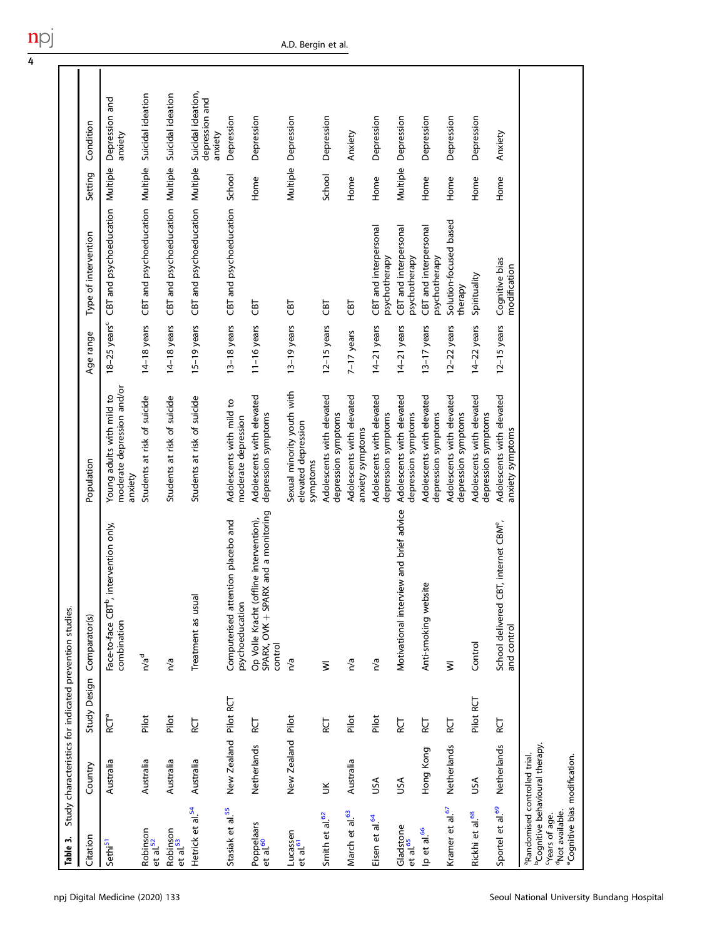<span id="page-3-0"></span>

| Table 3.                                                                                                                                                                              |             |              | Study characteristics for indicated prevention studies.                                   |                                                                    |                            |                                        |          |                                                 |  |
|---------------------------------------------------------------------------------------------------------------------------------------------------------------------------------------|-------------|--------------|-------------------------------------------------------------------------------------------|--------------------------------------------------------------------|----------------------------|----------------------------------------|----------|-------------------------------------------------|--|
| Citation                                                                                                                                                                              | Country     | Study Design | Comparator(s)                                                                             | Population                                                         | Age range                  | Type of intervention                   | Setting  | Condition                                       |  |
| Sethi <sup>51</sup>                                                                                                                                                                   | Australia   | e<br>SC      | intervention only,<br>Face-to-face CBT <sup>+</sup> ,<br>combination                      | moderate depression and/or<br>Young adults with mild to<br>anxiety | $18-25$ years <sup>c</sup> | CBT and psychoeducation                | Multiple | Depression and<br>anxiety                       |  |
| Robinson<br>et al. <sup>52</sup>                                                                                                                                                      | Australia   | Pilot        | n/a <sup>d</sup>                                                                          | Students at risk of suicide                                        | $14-18$ years              | CBT and psychoeducation                | Multiple | Suicidal ideation                               |  |
| Robinson<br>et al. <sup>53</sup>                                                                                                                                                      | Australia   | Pilot        | n/a                                                                                       | Students at risk of suicide                                        | $14-18$ years              | CBT and psychoeducation                | Multiple | Suicidal ideation                               |  |
| Hetrick et al. <sup>54</sup>                                                                                                                                                          | Australia   | ĔД           | Treatment as usual                                                                        | Students at risk of suicide                                        | 15-19 years                | CBT and psychoeducation                | Multiple | Suicidal ideation,<br>depression and<br>anxiety |  |
| Stasiak et al. <sup>55</sup>                                                                                                                                                          | New Zealand | Pilot RCT    | Computerised attention placebo and<br>psychoeducation                                     | Adolescents with mild to<br>moderate depression                    | 13-18 years                | CBT and psychoeducation                | School   | Depression                                      |  |
| Poppelaars<br>et al. <sup>60</sup>                                                                                                                                                    | Netherlands | ă            | SPARX, OVK + SPARX and a monitoring<br>Op Volle Kracht (offline intervention),<br>control | Adolescents with elevated<br>depression symptoms                   | $11-16$ years              | СBT                                    | Home     | Depression                                      |  |
| Lucassen<br>et al. <sup>61</sup>                                                                                                                                                      | New Zealand | Pilot        | n/a                                                                                       | Sexual minority youth with<br>elevated depression<br>symptoms      | 13-19 years                | <b>LB</b>                              | Multiple | Depression                                      |  |
| Smith et al. <sup>62</sup>                                                                                                                                                            | š           | ă            | Σ                                                                                         | Adolescents with elevated<br>depression symptoms                   | $12-15$ years              | ГB                                     | School   | Depression                                      |  |
| March et al. <sup>63</sup>                                                                                                                                                            | Australia   | Pilot        | n/a                                                                                       | Adolescents with elevated<br>anxiety symptoms                      | $7-17$ years               | СBT                                    | Home     | Anxiety                                         |  |
| Eisen et al. <sup>64</sup>                                                                                                                                                            | USA         | Pilot        | n/a                                                                                       | Adolescents with elevated<br>depression symptoms                   | $14-21$ years              | CBT and interpersonal<br>psychotherapy | Home     | Depression                                      |  |
| Gladstone<br>et al. <sup>65</sup>                                                                                                                                                     | USA         | <b>RCT</b>   | Motivational interview and brief advice                                                   | Adolescents with elevated<br>depression symptoms                   | $14-21$ years              | CBT and interpersonal<br>psychotherapy | Multiple | Depression                                      |  |
| lp et al. <sup>66</sup>                                                                                                                                                               | Hong Kong   | <b>IC</b>    | Anti-smoking website                                                                      | Adolescents with elevated<br>depression symptoms                   | $13-17$ years              | CBT and interpersonal<br>psychotherapy | Home     | Depression                                      |  |
| Kramer et al. <sup>67</sup>                                                                                                                                                           | Netherlands | <b>SCT</b>   | ≅                                                                                         | Adolescents with elevated<br>depression symptoms                   | $12-22$ years              | Solution-focused based<br>therapy      | Home     | Depression                                      |  |
| $a\vert$ <sup>68</sup><br>Rickhi et                                                                                                                                                   | USA         | Pilot RCT    | Control                                                                                   | Adolescents with elevated<br>depression symptoms                   | $14-22$ years              | Spirituality                           | Home     | Depression                                      |  |
| al. <sup>69</sup><br>Sportel et                                                                                                                                                       | Netherlands | Š            | BT, internet CBM <sup>e</sup> ,<br>$\cup$<br>School delivered<br>and control              | Adolescents with elevated<br>anxiety symptoms                      | $12-15$ years              | Cognitive bias<br>modification         | Home     | Anxiety                                         |  |
| <sup>b</sup> Cognitive behavioural therapy.<br><sup>a</sup> Randomised controlled trial.<br><sup>e</sup> Cognitive bias modification.<br><sup>d</sup> Not available.<br>Years of age. |             |              |                                                                                           |                                                                    |                            |                                        |          |                                                 |  |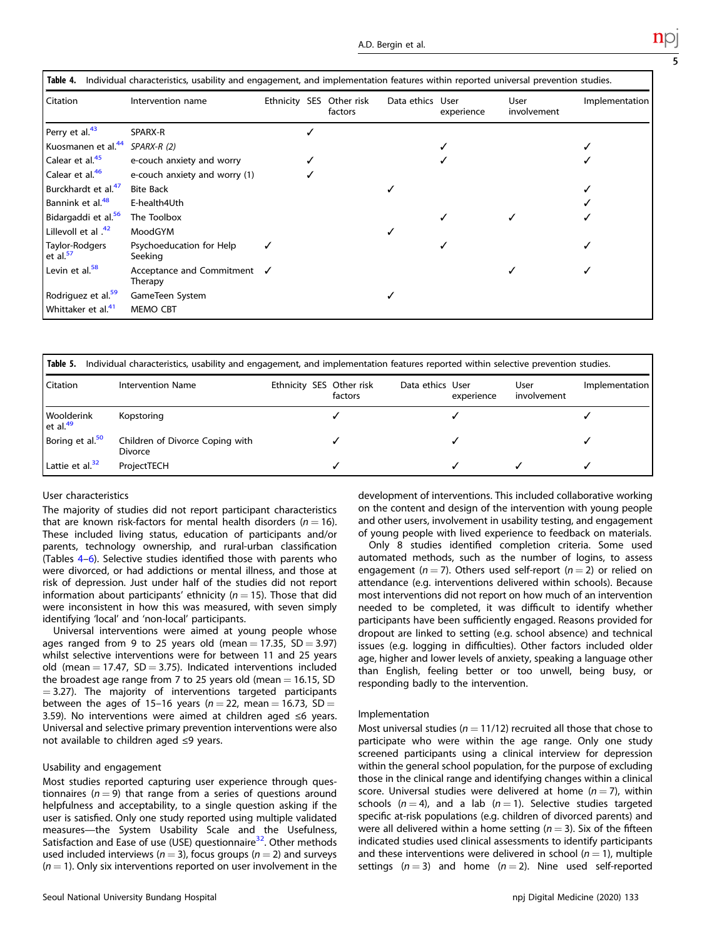5

| Table 4.                               | Individual characteristics, usability and engagement, and implementation features within reported universal prevention studies. |               |                       |                  |            |                     |                |
|----------------------------------------|---------------------------------------------------------------------------------------------------------------------------------|---------------|-----------------------|------------------|------------|---------------------|----------------|
| Citation                               | Intervention name                                                                                                               | Ethnicity SES | Other risk<br>factors | Data ethics User | experience | User<br>involvement | Implementation |
| Perry et al. <sup>43</sup>             | SPARX-R                                                                                                                         |               |                       |                  |            |                     |                |
| Kuosmanen et al. <sup>44</sup>         | SPARX-R (2)                                                                                                                     |               |                       |                  |            |                     |                |
| Calear et al. <sup>45</sup>            | e-couch anxiety and worry                                                                                                       |               |                       |                  |            |                     |                |
| Calear et al. <sup>46</sup>            | e-couch anxiety and worry (1)                                                                                                   |               |                       |                  |            |                     |                |
| Burckhardt et al. <sup>47</sup>        | <b>Bite Back</b>                                                                                                                |               |                       |                  |            |                     |                |
| Bannink et al. <sup>48</sup>           | E-health4Uth                                                                                                                    |               |                       |                  |            |                     |                |
| Bidargaddi et al. <sup>56</sup>        | The Toolbox                                                                                                                     |               |                       |                  |            |                     |                |
| Lillevoll et al $.^{42}$               | MoodGYM                                                                                                                         |               |                       |                  |            |                     |                |
| Taylor-Rodgers<br>et al. <sup>57</sup> | Psychoeducation for Help<br>Seeking                                                                                             |               |                       |                  |            |                     |                |
| Levin et al. <sup>58</sup>             | Acceptance and Commitment √<br>Therapy                                                                                          |               |                       |                  |            |                     |                |
| Rodriguez et al. <sup>59</sup>         | GameTeen System                                                                                                                 |               |                       |                  |            |                     |                |
| Whittaker et al. <sup>41</sup>         | <b>MEMO CBT</b>                                                                                                                 |               |                       |                  |            |                     |                |

| Table 5.                           | Individual characteristics, usability and engagement, and implementation features reported within selective prevention studies. |                          |         |                  |            |                     |                |  |  |  |  |
|------------------------------------|---------------------------------------------------------------------------------------------------------------------------------|--------------------------|---------|------------------|------------|---------------------|----------------|--|--|--|--|
| Citation                           | Intervention Name                                                                                                               | Ethnicity SES Other risk | factors | Data ethics User | experience | User<br>involvement | Implementation |  |  |  |  |
| Woolderink<br>et al. <sup>49</sup> | Kopstoring                                                                                                                      |                          |         |                  |            |                     |                |  |  |  |  |
| Boring et al. <sup>50</sup>        | Children of Divorce Coping with<br>Divorce                                                                                      |                          |         |                  |            |                     |                |  |  |  |  |
| Lattie et al. <sup>32</sup>        | ProjectTECH                                                                                                                     |                          |         |                  |            |                     |                |  |  |  |  |

# User characteristics

The majority of studies did not report participant characteristics that are known risk-factors for mental health disorders ( $n = 16$ ). These included living status, education of participants and/or parents, technology ownership, and rural-urban classification (Tables 4–[6](#page-5-0)). Selective studies identified those with parents who were divorced, or had addictions or mental illness, and those at risk of depression. Just under half of the studies did not report information about participants' ethnicity ( $n = 15$ ). Those that did were inconsistent in how this was measured, with seven simply identifying 'local' and 'non-local' participants.

Universal interventions were aimed at young people whose ages ranged from 9 to 25 years old (mean  $= 17.35$ , SD  $= 3.97$ ) whilst selective interventions were for between 11 and 25 years old (mean  $= 17.47$ , SD  $= 3.75$ ). Indicated interventions included the broadest age range from 7 to 25 years old (mean  $= 16.15$ , SD  $= 3.27$ ). The majority of interventions targeted participants between the ages of 15–16 years ( $n = 22$ , mean = 16.73, SD = 3.59). No interventions were aimed at children aged ≤6 years. Universal and selective primary prevention interventions were also not available to children aged ≤9 years.

# Usability and engagement

Most studies reported capturing user experience through questionnaires ( $n = 9$ ) that range from a series of questions around helpfulness and acceptability, to a single question asking if the user is satisfied. Only one study reported using multiple validated measures—the System Usability Scale and the Usefulness, Satisfaction and Ease of use (USE) questionnaire<sup>32</sup>. Other methods used included interviews ( $n = 3$ ), focus groups ( $n = 2$ ) and surveys  $(n = 1)$ . Only six interventions reported on user involvement in the development of interventions. This included collaborative working on the content and design of the intervention with young people and other users, involvement in usability testing, and engagement of young people with lived experience to feedback on materials.

Only 8 studies identified completion criteria. Some used automated methods, such as the number of logins, to assess engagement ( $n = 7$ ). Others used self-report ( $n = 2$ ) or relied on attendance (e.g. interventions delivered within schools). Because most interventions did not report on how much of an intervention needed to be completed, it was difficult to identify whether participants have been sufficiently engaged. Reasons provided for dropout are linked to setting (e.g. school absence) and technical issues (e.g. logging in difficulties). Other factors included older age, higher and lower levels of anxiety, speaking a language other than English, feeling better or too unwell, being busy, or responding badly to the intervention.

#### Implementation

Most universal studies ( $n = 11/12$ ) recruited all those that chose to participate who were within the age range. Only one study screened participants using a clinical interview for depression within the general school population, for the purpose of excluding those in the clinical range and identifying changes within a clinical score. Universal studies were delivered at home  $(n = 7)$ , within schools  $(n = 4)$ , and a lab  $(n = 1)$ . Selective studies targeted specific at-risk populations (e.g. children of divorced parents) and were all delivered within a home setting ( $n = 3$ ). Six of the fifteen indicated studies used clinical assessments to identify participants and these interventions were delivered in school ( $n = 1$ ), multiple settings  $(n = 3)$  and home  $(n = 2)$ . Nine used self-reported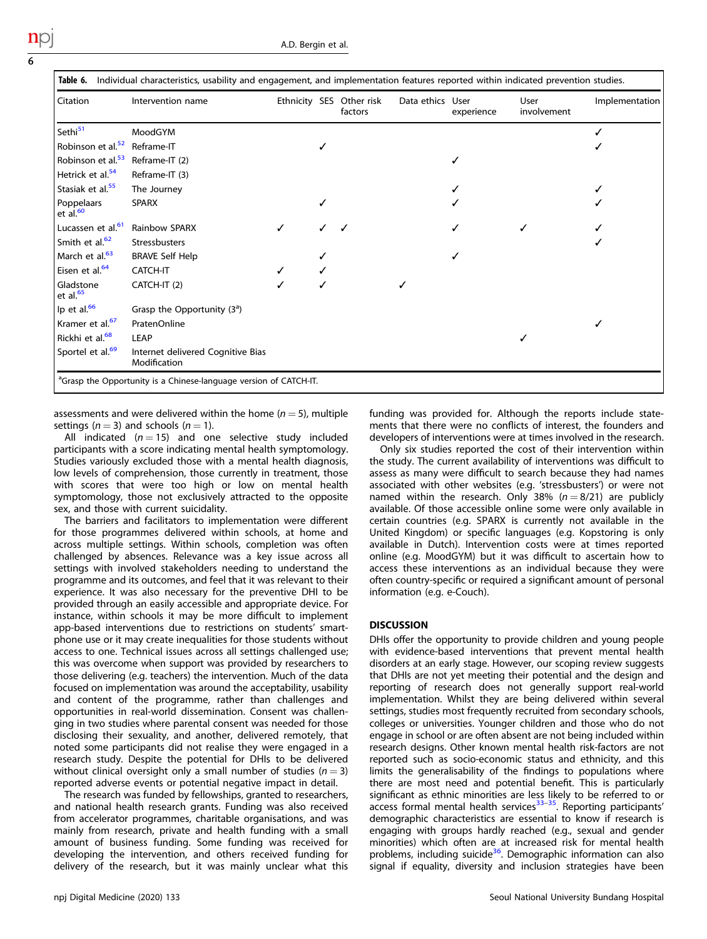<span id="page-5-0"></span>

| Citation                          | Intervention name                                 |  | Ethnicity SES Other risk<br>factors | Data ethics User | experience | User<br>involvement | Implementation |
|-----------------------------------|---------------------------------------------------|--|-------------------------------------|------------------|------------|---------------------|----------------|
| Sethi <sup>51</sup>               | MoodGYM                                           |  |                                     |                  |            |                     |                |
| Robinson et al. <sup>52</sup>     | Reframe-IT                                        |  |                                     |                  |            |                     |                |
| Robinson et al. <sup>53</sup>     | Reframe-IT (2)                                    |  |                                     |                  |            |                     |                |
| Hetrick et al. <sup>54</sup>      | Reframe-IT (3)                                    |  |                                     |                  |            |                     |                |
| Stasiak et al. <sup>55</sup>      | The Journey                                       |  |                                     |                  |            |                     |                |
| Poppelaars<br>et al. $60$         | <b>SPARX</b>                                      |  |                                     |                  |            |                     |                |
| Lucassen et al. <sup>61</sup>     | Rainbow SPARX                                     |  |                                     |                  |            |                     |                |
| Smith et al. <sup>62</sup>        | <b>Stressbusters</b>                              |  |                                     |                  |            |                     |                |
| March et al. <sup>63</sup>        | <b>BRAVE Self Help</b>                            |  |                                     |                  |            |                     |                |
| Eisen et al. <sup>64</sup>        | <b>CATCH-IT</b>                                   |  |                                     |                  |            |                     |                |
| Gladstone<br>et al. <sup>65</sup> | CATCH-IT (2)                                      |  |                                     |                  |            |                     |                |
| lp et al. <sup>66</sup>           | Grasp the Opportunity $(3^a)$                     |  |                                     |                  |            |                     |                |
| Kramer et al. <sup>67</sup>       | PratenOnline                                      |  |                                     |                  |            |                     |                |
| Rickhi et al. <sup>68</sup>       | LEAP                                              |  |                                     |                  |            |                     |                |
| Sportel et al. <sup>69</sup>      | Internet delivered Cognitive Bias<br>Modification |  |                                     |                  |            |                     |                |

assessments and were delivered within the home  $(n = 5)$ , multiple settings ( $n = 3$ ) and schools ( $n = 1$ ).

All indicated ( $n = 15$ ) and one selective study included participants with a score indicating mental health symptomology. Studies variously excluded those with a mental health diagnosis, low levels of comprehension, those currently in treatment, those with scores that were too high or low on mental health symptomology, those not exclusively attracted to the opposite sex, and those with current suicidality.

The barriers and facilitators to implementation were different for those programmes delivered within schools, at home and across multiple settings. Within schools, completion was often challenged by absences. Relevance was a key issue across all settings with involved stakeholders needing to understand the programme and its outcomes, and feel that it was relevant to their experience. It was also necessary for the preventive DHI to be provided through an easily accessible and appropriate device. For instance, within schools it may be more difficult to implement app-based interventions due to restrictions on students' smartphone use or it may create inequalities for those students without access to one. Technical issues across all settings challenged use; this was overcome when support was provided by researchers to those delivering (e.g. teachers) the intervention. Much of the data focused on implementation was around the acceptability, usability and content of the programme, rather than challenges and opportunities in real-world dissemination. Consent was challenging in two studies where parental consent was needed for those disclosing their sexuality, and another, delivered remotely, that noted some participants did not realise they were engaged in a research study. Despite the potential for DHIs to be delivered without clinical oversight only a small number of studies  $(n = 3)$ reported adverse events or potential negative impact in detail.

The research was funded by fellowships, granted to researchers, and national health research grants. Funding was also received from accelerator programmes, charitable organisations, and was mainly from research, private and health funding with a small amount of business funding. Some funding was received for developing the intervention, and others received funding for delivery of the research, but it was mainly unclear what this funding was provided for. Although the reports include statements that there were no conflicts of interest, the founders and developers of interventions were at times involved in the research.

Only six studies reported the cost of their intervention within the study. The current availability of interventions was difficult to assess as many were difficult to search because they had names associated with other websites (e.g. 'stressbusters') or were not named within the research. Only 38% ( $n = 8/21$ ) are publicly available. Of those accessible online some were only available in certain countries (e.g. SPARX is currently not available in the United Kingdom) or specific languages (e.g. Kopstoring is only available in Dutch). Intervention costs were at times reported online (e.g. MoodGYM) but it was difficult to ascertain how to access these interventions as an individual because they were often country-specific or required a significant amount of personal information (e.g. e-Couch).

# **DISCUSSION**

DHIs offer the opportunity to provide children and young people with evidence-based interventions that prevent mental health disorders at an early stage. However, our scoping review suggests that DHIs are not yet meeting their potential and the design and reporting of research does not generally support real-world implementation. Whilst they are being delivered within several settings, studies most frequently recruited from secondary schools, colleges or universities. Younger children and those who do not engage in school or are often absent are not being included within research designs. Other known mental health risk-factors are not reported such as socio-economic status and ethnicity, and this limits the generalisability of the findings to populations where there are most need and potential benefit. This is particularly significant as ethnic minorities are less likely to be referred to or access formal mental health services<sup>[33](#page-7-0)–35</sup>. Reporting participants' demographic characteristics are essential to know if research is engaging with groups hardly reached (e.g., sexual and gender minorities) which often are at increased risk for mental health problems, including suicide<sup>36</sup>. Demographic information can also signal if equality, diversity and inclusion strategies have been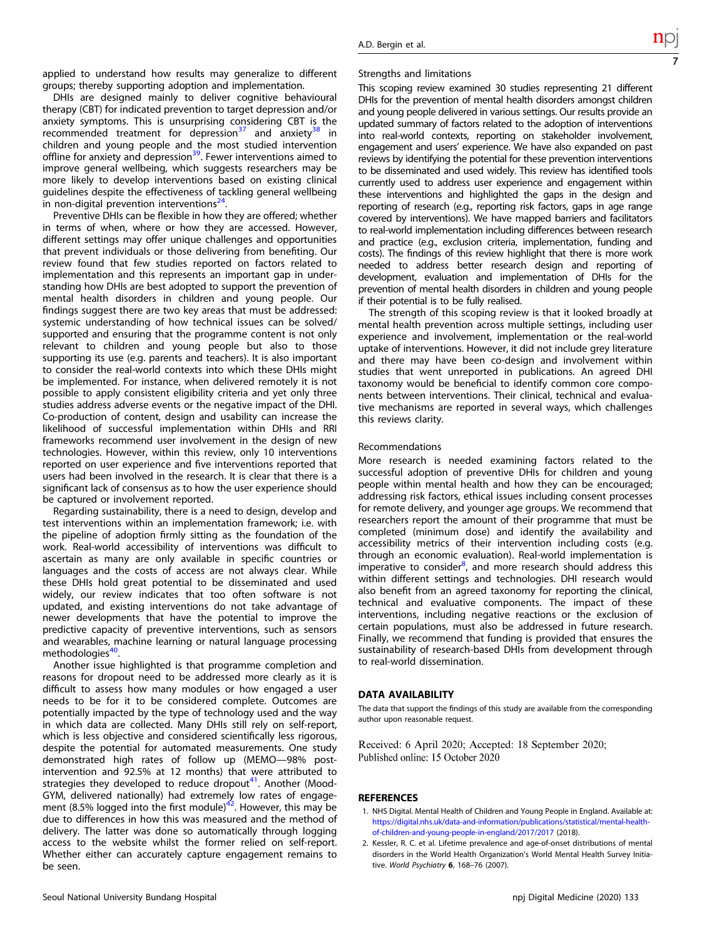<span id="page-6-0"></span>applied to understand how results may generalize to different groups; thereby supporting adoption and implementation.

DHIs are designed mainly to deliver cognitive behavioural therapy (CBT) for indicated prevention to target depression and/or anxiety symptoms. This is unsurprising considering CBT is the recommended treatment for depression<sup>[37](#page-7-0)</sup> and anxiety<sup>[38](#page-7-0)</sup> in children and young people and the most studied intervention offline for anxiety and depression $39$ . Fewer interventions aimed to improve general wellbeing, which suggests researchers may be more likely to develop interventions based on existing clinical guidelines despite the effectiveness of tackling general wellbeing in non-digital prevention interventions $^{24}$ .

Preventive DHIs can be flexible in how they are offered; whether in terms of when, where or how they are accessed. However, different settings may offer unique challenges and opportunities that prevent individuals or those delivering from benefiting. Our review found that few studies reported on factors related to implementation and this represents an important gap in understanding how DHIs are best adopted to support the prevention of mental health disorders in children and young people. Our findings suggest there are two key areas that must be addressed: systemic understanding of how technical issues can be solved/ supported and ensuring that the programme content is not only relevant to children and young people but also to those supporting its use (e.g. parents and teachers). It is also important to consider the real-world contexts into which these DHIs might be implemented. For instance, when delivered remotely it is not possible to apply consistent eligibility criteria and yet only three studies address adverse events or the negative impact of the DHI. Co-production of content, design and usability can increase the likelihood of successful implementation within DHIs and RRI frameworks recommend user involvement in the design of new technologies. However, within this review, only 10 interventions reported on user experience and five interventions reported that users had been involved in the research. It is clear that there is a significant lack of consensus as to how the user experience should be captured or involvement reported.

Regarding sustainability, there is a need to design, develop and test interventions within an implementation framework; i.e. with the pipeline of adoption firmly sitting as the foundation of the work. Real-world accessibility of interventions was difficult to ascertain as many are only available in specific countries or languages and the costs of access are not always clear. While these DHIs hold great potential to be disseminated and used widely, our review indicates that too often software is not updated, and existing interventions do not take advantage of newer developments that have the potential to improve the predictive capacity of preventive interventions, such as sensors and wearables, machine learning or natural language processing methodologies<sup>[40](#page-7-0)</sup>.

Another issue highlighted is that programme completion and reasons for dropout need to be addressed more clearly as it is difficult to assess how many modules or how engaged a user needs to be for it to be considered complete. Outcomes are potentially impacted by the type of technology used and the way in which data are collected. Many DHIs still rely on self-report, which is less objective and considered scientifically less rigorous, despite the potential for automated measurements. One study demonstrated high rates of follow up (MEMO—98% postintervention and 92.5% at 12 months) that were attributed to strategies they developed to reduce dropout $41$ . Another (Mood-GYM, delivered nationally) had extremely low rates of engage-<br>ment (8.5% logged into the first module)<sup>42</sup>. However, this may be due to differences in how this was measured and the method of delivery. The latter was done so automatically through logging access to the website whilst the former relied on self-report. Whether either can accurately capture engagement remains to be seen.

#### Strengths and limitations

This scoping review examined 30 studies representing 21 different DHIs for the prevention of mental health disorders amongst children and young people delivered in various settings. Our results provide an updated summary of factors related to the adoption of interventions into real-world contexts, reporting on stakeholder involvement, engagement and users' experience. We have also expanded on past reviews by identifying the potential for these prevention interventions to be disseminated and used widely. This review has identified tools currently used to address user experience and engagement within these interventions and highlighted the gaps in the design and reporting of research (e.g., reporting risk factors, gaps in age range covered by interventions). We have mapped barriers and facilitators to real-world implementation including differences between research and practice (e.g., exclusion criteria, implementation, funding and costs). The findings of this review highlight that there is more work needed to address better research design and reporting of development, evaluation and implementation of DHIs for the prevention of mental health disorders in children and young people if their potential is to be fully realised.

The strength of this scoping review is that it looked broadly at mental health prevention across multiple settings, including user experience and involvement, implementation or the real-world uptake of interventions. However, it did not include grey literature and there may have been co-design and involvement within studies that went unreported in publications. An agreed DHI taxonomy would be beneficial to identify common core components between interventions. Their clinical, technical and evaluative mechanisms are reported in several ways, which challenges this reviews clarity.

#### Recommendations

More research is needed examining factors related to the successful adoption of preventive DHIs for children and young people within mental health and how they can be encouraged; addressing risk factors, ethical issues including consent processes for remote delivery, and younger age groups. We recommend that researchers report the amount of their programme that must be completed (minimum dose) and identify the availability and accessibility metrics of their intervention including costs (e.g. through an economic evaluation). Real-world implementation is imperative to consider<sup>[8](#page-7-0)</sup>, and more research should address this within different settings and technologies. DHI research would also benefit from an agreed taxonomy for reporting the clinical, technical and evaluative components. The impact of these interventions, including negative reactions or the exclusion of certain populations, must also be addressed in future research. Finally, we recommend that funding is provided that ensures the sustainability of research-based DHIs from development through to real-world dissemination.

### DATA AVAILABILITY

The data that support the findings of this study are available from the corresponding author upon reasonable request.

Received: 6 April 2020; Accepted: 18 September 2020; Published online: 15 October 2020

# **REFERENCES**

- 1. NHS Digital. Mental Health of Children and Young People in England. Available at: [https://digital.nhs.uk/data-and-information/publications/statistical/mental-health](https://digital.nhs.uk/data-and-information/publications/statistical/mental-health-of-children-and-young-people-in-england/2017/2017)[of-children-and-young-people-in-england/2017/2017](https://digital.nhs.uk/data-and-information/publications/statistical/mental-health-of-children-and-young-people-in-england/2017/2017) (2018).
- 2. Kessler, R. C. et al. Lifetime prevalence and age-of-onset distributions of mental disorders in the World Health Organization's World Mental Health Survey Initiative. World Psychiatry **6**, 168-76 (2007).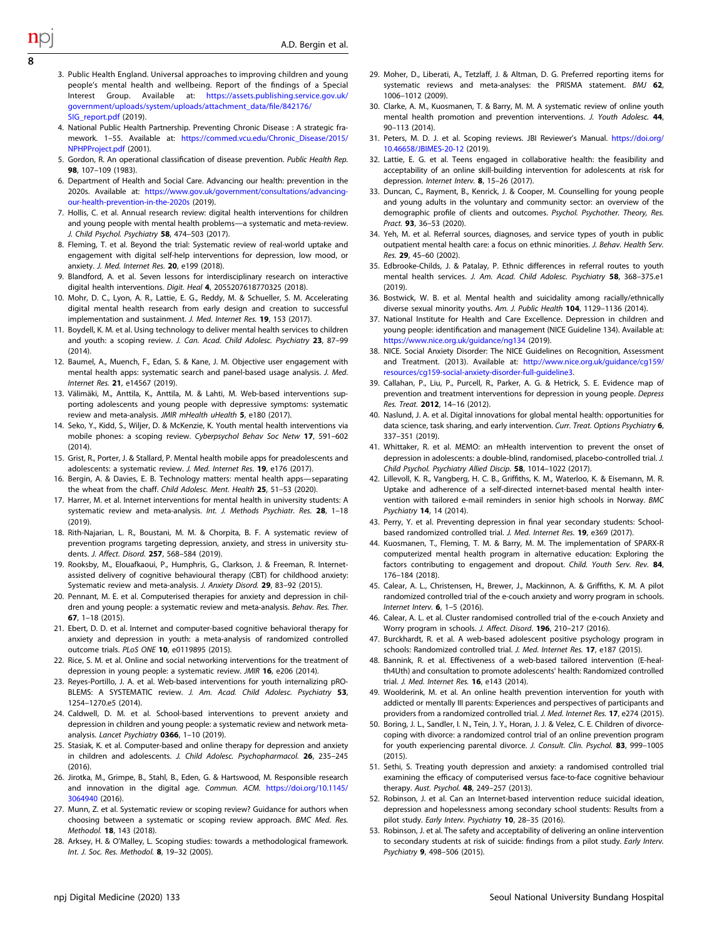- <span id="page-7-0"></span>3. Public Health England. Universal approaches to improving children and young people's mental health and wellbeing. Report of the findings of a Special Interest Group. Available at: [https://assets.publishing.service.gov.uk/](https://assets.publishing.service.gov.uk/government/uploads/system/uploads/attachment_data/file/842176/SIG_report.pdf) [government/uploads/system/uploads/attachment\\_data/](https://assets.publishing.service.gov.uk/government/uploads/system/uploads/attachment_data/file/842176/SIG_report.pdf)file/842176/ [SIG\\_report.pdf](https://assets.publishing.service.gov.uk/government/uploads/system/uploads/attachment_data/file/842176/SIG_report.pdf) (2019).
- 4. National Public Health Partnership. Preventing Chronic Disease : A strategic framework. 1–55. Available at: [https://commed.vcu.edu/Chronic\\_Disease/2015/](https://commed.vcu.edu/Chronic_Disease/2015/NPHPProject.pdf) [NPHPProject.pdf](https://commed.vcu.edu/Chronic_Disease/2015/NPHPProject.pdf) (2001).
- 5. Gordon, R. An operational classification of disease prevention. Public Health Rep. 98, 107–109 (1983).
- 6. Department of Health and Social Care. Advancing our health: prevention in the 2020s. Available at: [https://www.gov.uk/government/consultations/advancing](https://www.gov.uk/government/consultations/advancing-our-health-prevention-in-the-2020s)[our-health-prevention-in-the-2020s](https://www.gov.uk/government/consultations/advancing-our-health-prevention-in-the-2020s) (2019).
- 7. Hollis, C. et al. Annual research review: digital health interventions for children and young people with mental health problems—a systematic and meta-review. J. Child Psychol. Psychiatry 58, 474–503 (2017).
- 8. Fleming, T. et al. Beyond the trial: Systematic review of real-world uptake and engagement with digital self-help interventions for depression, low mood, or anxiety. J. Med. Internet Res. 20, e199 (2018).
- 9. Blandford, A. et al. Seven lessons for interdisciplinary research on interactive digital health interventions. Digit. Heal 4, 2055207618770325 (2018).
- 10. Mohr, D. C., Lyon, A. R., Lattie, E. G., Reddy, M. & Schueller, S. M. Accelerating digital mental health research from early design and creation to successful implementation and sustainment. J. Med. Internet Res. 19, 153 (2017).
- 11. Boydell, K. M. et al. Using technology to deliver mental health services to children and youth: a scoping review. J. Can. Acad. Child Adolesc. Psychiatry 23, 87-99 (2014).
- 12. Baumel, A., Muench, F., Edan, S. & Kane, J. M. Objective user engagement with mental health apps: systematic search and panel-based usage analysis. J. Med. Internet Res. 21, e14567 (2019).
- 13. Välimäki, M., Anttila, K., Anttila, M. & Lahti, M. Web-based interventions supporting adolescents and young people with depressive symptoms: systematic review and meta-analysis. JMIR mHealth uHealth 5, e180 (2017).
- 14. Seko, Y., Kidd, S., Wiljer, D. & McKenzie, K. Youth mental health interventions via mobile phones: a scoping review. Cyberpsychol Behav Soc Netw 17, 591–602 (2014).
- 15. Grist, R., Porter, J. & Stallard, P. Mental health mobile apps for preadolescents and adolescents: a systematic review. J. Med. Internet Res. 19, e176 (2017).
- 16. Bergin, A. & Davies, E. B. Technology matters: mental health apps—separating the wheat from the chaff. Child Adolesc. Ment. Health 25, 51-53 (2020).
- 17. Harrer, M. et al. Internet interventions for mental health in university students: A systematic review and meta-analysis. Int. J. Methods Psychiatr. Res. 28, 1-18 (2019).
- 18. Rith-Najarian, L. R., Boustani, M. M. & Chorpita, B. F. A systematic review of prevention programs targeting depression, anxiety, and stress in university students. J. Affect. Disord. 257, 568–584 (2019).
- 19. Rooksby, M., Elouafkaoui, P., Humphris, G., Clarkson, J. & Freeman, R. Internetassisted delivery of cognitive behavioural therapy (CBT) for childhood anxiety: Systematic review and meta-analysis. J. Anxiety Disord. 29, 83–92 (2015).
- 20. Pennant, M. E. et al. Computerised therapies for anxiety and depression in children and young people: a systematic review and meta-analysis. Behav. Res. Ther. 67, 1–18 (2015).
- 21. Ebert, D. D. et al. Internet and computer-based cognitive behavioral therapy for anxiety and depression in youth: a meta-analysis of randomized controlled outcome trials. PLoS ONE 10, e0119895 (2015).
- 22. Rice, S. M. et al. Online and social networking interventions for the treatment of depression in young people: a systematic review. JMIR 16, e206 (2014).
- 23. Reyes-Portillo, J. A. et al. Web-based interventions for youth internalizing pRO-BLEMS: A SYSTEMATIC review. J. Am. Acad. Child Adolesc. Psychiatry 53, 1254–1270.e5 (2014).
- 24. Caldwell, D. M. et al. School-based interventions to prevent anxiety and depression in children and young people: a systematic review and network metaanalysis. Lancet Psychiatry 0366, 1-10 (2019).
- 25. Stasiak, K. et al. Computer-based and online therapy for depression and anxiety in children and adolescents. J. Child Adolesc. Psychopharmacol. 26, 235-245 (2016).
- 26. Jirotka, M., Grimpe, B., Stahl, B., Eden, G. & Hartswood, M. Responsible research and innovation in the digital age. Commun. ACM. [https://doi.org/10.1145/](https://doi.org/10.1145/3064940) [3064940](https://doi.org/10.1145/3064940) (2016).
- 27. Munn, Z. et al. Systematic review or scoping review? Guidance for authors when choosing between a systematic or scoping review approach. BMC Med. Res. Methodol. 18, 143 (2018).
- 28. Arksey, H. & O'Malley, L. Scoping studies: towards a methodological framework. Int. J. Soc. Res. Methodol. 8, 19–32 (2005).
- 29. Moher, D., Liberati, A., Tetzlaff, J. & Altman, D. G. Preferred reporting items for systematic reviews and meta-analyses: the PRISMA statement. BMJ 62, 1006–1012 (2009).
- 30. Clarke, A. M., Kuosmanen, T. & Barry, M. M. A systematic review of online youth mental health promotion and prevention interventions. J. Youth Adolesc. 44, 90–113 (2014).
- 31. Peters, M. D. J. et al. Scoping reviews. JBI Reviewer's Manual. [https://doi.org/](https://doi.org/10.46658/JBIMES-20-12) [10.46658/JBIMES-20-12](https://doi.org/10.46658/JBIMES-20-12) (2019).
- 32. Lattie, E. G. et al. Teens engaged in collaborative health: the feasibility and acceptability of an online skill-building intervention for adolescents at risk for depression. Internet Interv. 8, 15-26 (2017).
- 33. Duncan, C., Rayment, B., Kenrick, J. & Cooper, M. Counselling for young people and young adults in the voluntary and community sector: an overview of the demographic profile of clients and outcomes. Psychol. Psychother. Theory, Res. Pract. 93, 36–53 (2020).
- 34. Yeh, M. et al. Referral sources, diagnoses, and service types of youth in public outpatient mental health care: a focus on ethnic minorities. J. Behav. Health Serv. Res. 29, 45–60 (2002).
- 35. Edbrooke-Childs, J. & Patalay, P. Ethnic differences in referral routes to youth mental health services. J. Am. Acad. Child Adolesc. Psychiatry 58, 368-375.e1 (2019).
- 36. Bostwick, W. B. et al. Mental health and suicidality among racially/ethnically diverse sexual minority youths. Am. J. Public Health 104, 1129-1136 (2014).
- 37. National Institute for Health and Care Excellence. Depression in children and young people: identification and management (NICE Guideline 134). Available at: <https://www.nice.org.uk/guidance/ng134> (2019).
- 38. NICE. Social Anxiety Disorder: The NICE Guidelines on Recognition, Assessment and Treatment. (2013). Available at: [http://www.nice.org.uk/guidance/cg159/](http://www.nice.org.uk/guidance/cg159/resources/cg159-social-anxiety-disorder-full-guideline3) [resources/cg159-social-anxiety-disorder-full-guideline3.](http://www.nice.org.uk/guidance/cg159/resources/cg159-social-anxiety-disorder-full-guideline3)
- 39. Callahan, P., Liu, P., Purcell, R., Parker, A. G. & Hetrick, S. E. Evidence map of prevention and treatment interventions for depression in young people. Depress Res. Treat. 2012, 14–16 (2012).
- 40. Naslund, J. A. et al. Digital innovations for global mental health: opportunities for data science, task sharing, and early intervention. Curr. Treat. Options Psychiatry 6, 337–351 (2019).
- 41. Whittaker, R. et al. MEMO: an mHealth intervention to prevent the onset of depression in adolescents: a double-blind, randomised, placebo-controlled trial. J. Child Psychol. Psychiatry Allied Discip. 58, 1014–1022 (2017).
- 42. Lillevoll, K. R., Vangberg, H. C. B., Griffiths, K. M., Waterloo, K. & Eisemann, M. R. Uptake and adherence of a self-directed internet-based mental health intervention with tailored e-mail reminders in senior high schools in Norway. BMC Psychiatry 14, 14 (2014).
- 43. Perry, Y. et al. Preventing depression in final year secondary students: Schoolbased randomized controlled trial. J. Med. Internet Res. 19, e369 (2017).
- 44. Kuosmanen, T., Fleming, T. M. & Barry, M. M. The implementation of SPARX-R computerized mental health program in alternative education: Exploring the factors contributing to engagement and dropout. Child. Youth Serv. Rev. 84, 176–184 (2018).
- 45. Calear, A. L., Christensen, H., Brewer, J., Mackinnon, A. & Griffiths, K. M. A pilot randomized controlled trial of the e-couch anxiety and worry program in schools. Internet Interv. 6, 1–5 (2016).
- 46. Calear, A. L. et al. Cluster randomised controlled trial of the e-couch Anxiety and Worry program in schools. J. Affect. Disord. 196, 210–217 (2016).
- 47. Burckhardt, R. et al. A web-based adolescent positive psychology program in schools: Randomized controlled trial. J. Med. Internet Res. 17, e187 (2015).
- 48. Bannink, R. et al. Effectiveness of a web-based tailored intervention (E-health4Uth) and consultation to promote adolescents' health: Randomized controlled trial. J. Med. Internet Res. 16, e143 (2014).
- 49. Woolderink, M. et al. An online health prevention intervention for youth with addicted or mentally III parents: Experiences and perspectives of participants and providers from a randomized controlled trial. J. Med. Internet Res. 17, e274 (2015).
- 50. Boring, J. L., Sandler, I. N., Tein, J. Y., Horan, J. J. & Velez, C. E. Children of divorcecoping with divorce: a randomized control trial of an online prevention program for youth experiencing parental divorce. J. Consult. Clin. Psychol. 83, 999–1005 (2015).
- 51. Sethi, S. Treating youth depression and anxiety: a randomised controlled trial examining the efficacy of computerised versus face-to-face cognitive behaviour therapy. Aust. Psychol. 48, 249–257 (2013).
- 52. Robinson, J. et al. Can an Internet-based intervention reduce suicidal ideation, depression and hopelessness among secondary school students: Results from a pilot study. Early Interv. Psychiatry 10, 28-35 (2016).
- 53. Robinson, J. et al. The safety and acceptability of delivering an online intervention to secondary students at risk of suicide: findings from a pilot study. Early Interv. Psychiatry 9, 498–506 (2015).